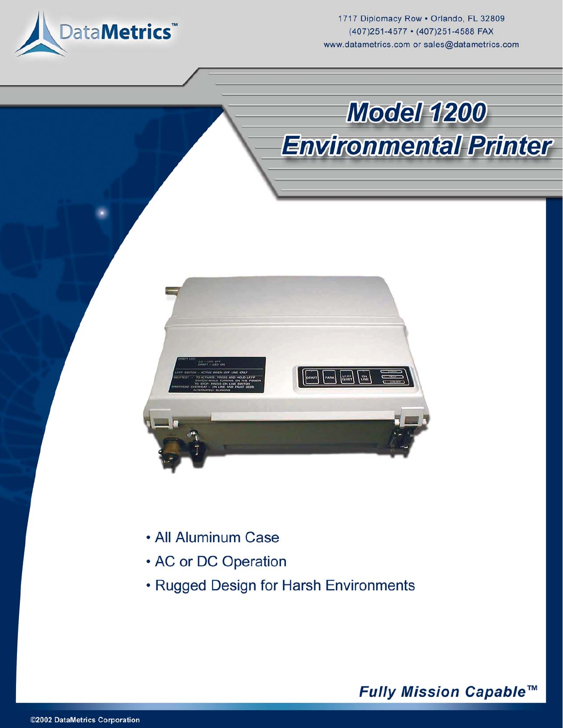

1717 Diplomacy Row . Orlando, FL 32809 (407)251-4577 · (407)251-4588 FAX www.datametrics.com or sales@datametrics.com

**Model 1200** 

**Environmental Printer** 



- All Aluminum Case
- AC or DC Operation
- Rugged Design for Harsh Environments

Fully Mission Capable™